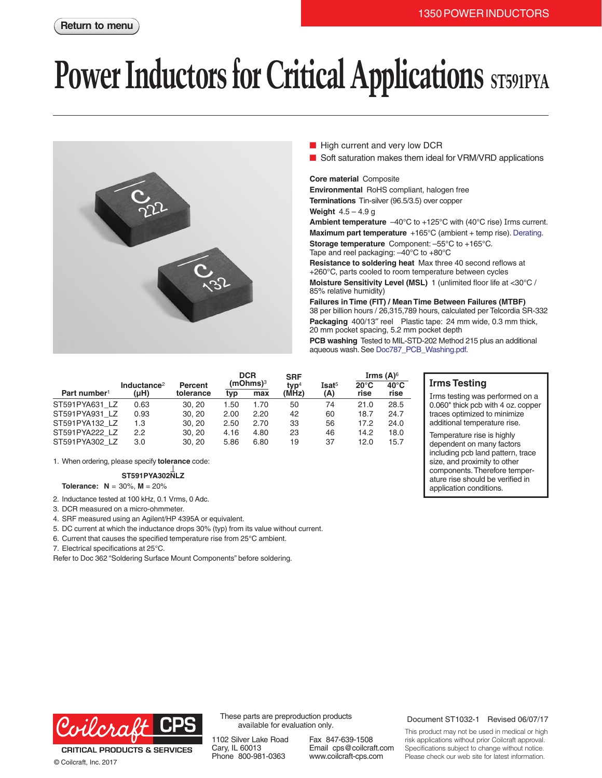# **Power Inductors for Critical Applications** ST591PYA



- High current and very low DCR
- Soft saturation makes them ideal for VRM/VRD applications

## **Core material** Composite

**Environmental** RoHS compliant, halogen free **Terminations** Tin-silver (96.5/3.5) over copper **Weight** 4.5 – 4.9 g

**Ambient temperature**  $-40^{\circ}$ C to  $+125^{\circ}$ C with (40°C rise) Irms current. **Maximum part temperature** +165°C (ambient + temp rise). [Derating.](http://www.coilcraft.com/apps/compare/compare_power.cfm) **Storage temperature** Component: –55°C to +165°C. Tape and reel packaging: –40°C to +80°C

**Resistance to soldering heat** Max three 40 second reflows at +260°C, parts cooled to room temperature between cycles **Moisture Sensitivity Level (MSL)** 1 (unlimited floor life at <30°C / 85% relative humidity)

**Failures in Time (FIT) / Mean Time Between Failures (MTBF)** 38 per billion hours / 26,315,789 hours, calculated per Telcordia SR-332 **Packaging** 400/13″ reel Plastic tape: 24 mm wide, 0.3 mm thick, 20 mm pocket spacing, 5.2 mm pocket depth **PCB washing** Tested to MIL-STD-202 Method 215 plus an additional aqueous wash. See [Doc787\\_PCB\\_Washing.pdf](http://www.coilcraft.com/pdfs/Doc787_PCB_Washing.pdf).

**Irms Testing**

Irms testing was performed on a 0.060" thick pcb with 4 oz. copper traces optimized to minimize additional temperature rise. Temperature rise is highly dependent on many factors including pcb land pattern, trace size, and proximity to other components. Therefore temperature rise should be verified in application conditions.

|                          | Inductance <sup>2</sup> | Percent   | <b>DCR</b><br>$(mOhms)$ <sup>3</sup> |      | <b>SRF</b><br>typ <sup>4</sup> | Isat <sup>5</sup> | Irms $(A)$ <sup>6</sup><br>$40^{\circ}$ C<br>$20^{\circ}$ C |      |
|--------------------------|-------------------------|-----------|--------------------------------------|------|--------------------------------|-------------------|-------------------------------------------------------------|------|
| Part number <sup>1</sup> | (µH)                    | tolerance | tvp                                  | max  | (MHz)                          | (A)               | rise                                                        | rise |
| ST591PYA631 LZ           | 0.63                    | 30.20     | 1.50                                 | 1.70 | 50                             | 74                | 21.0                                                        | 28.5 |
| ST591PYA931 LZ           | 0.93                    | 30.20     | 2.00                                 | 2.20 | 42                             | 60                | 18.7                                                        | 24.7 |
| ST591PYA132 LZ           | 1.3                     | 30.20     | 2.50                                 | 2.70 | 33                             | 56                | 17.2                                                        | 24.0 |
| ST591PYA222 LZ           | 2.2                     | 30, 20    | 4.16                                 | 4.80 | 23                             | 46                | 14.2                                                        | 18.0 |
| ST591PYA302 LZ           | 3.0                     | 30.20     | 5.86                                 | 6.80 | 19                             | 37                | 12.0                                                        | 15.7 |

1. When ordering, please specify **tolerance** code:

### **ST591PYA302NLZ**

**Tolerance: N** = 30%, **M** = 20%

- 2. Inductance tested at 100 kHz, 0.1 Vrms, 0 Adc.
- 3. DCR measured on a micro-ohmmeter.
- 4. SRF measured using an Agilent/HP 4395A or equivalent.

5. DC current at which the inductance drops 30% (typ) from its value without current.

6. Current that causes the specified temperature rise from 25°C ambient.

7. Electrical specifications at 25°C.

Refer to Doc 362 "Soldering Surface Mount Components" before soldering.



**CRITICAL PRODUCTS & SERVICES** © Coilcraft, Inc. 2017

These parts are preproduction products available for evaluation only.

1102 Silver Lake Road Cary, IL 60013 Phone 800-981-0363

Fax 847-639-1508 Email cps@coilcraft.com www.coilcraft-cps.com

### Document ST1032-1 Revised 06/07/17

This product may not be used in medical or high risk applications without prior Coilcraft approval. Specifications subject to change without notice. Please check our web site for latest information.